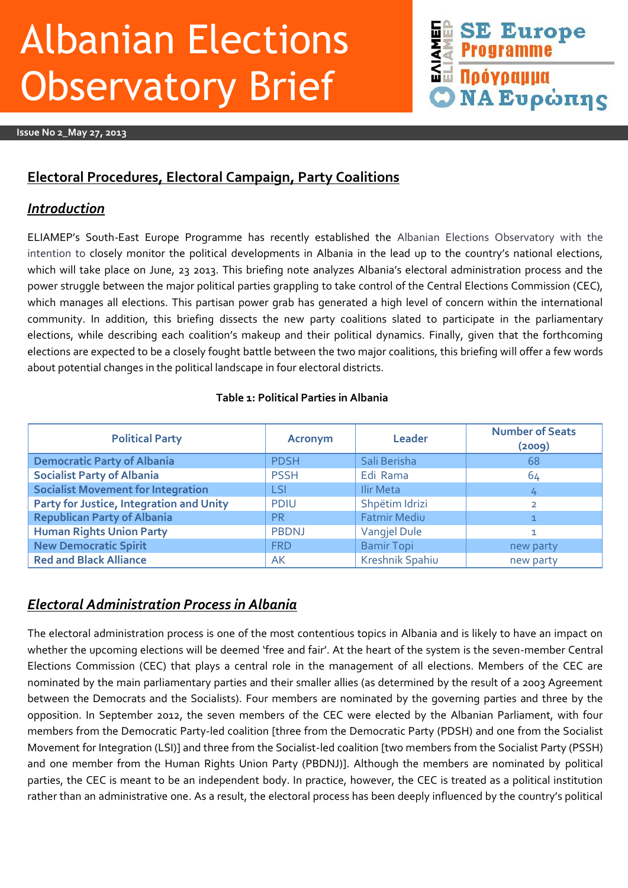# Albanian Elections **Observatory Brief**

**Issue No 2\_May 27, 2013**

## **SE Euro**<br>SE Programme<br>SE <mark>Novpaµµa</mark> **Europe NA Ευρώπης**

### **Electoral Procedures, Electoral Campaign, Party Coalitions**

### *Introduction*

ELIAMEP's South-East Europe Programme has recently established the Albanian Elections Observatory with the intention to closely monitor the political developments in Albania in the lead up to the country's national elections, which will take place on June, 23 2013. This briefing note analyzes Albania's electoral administration process and the power struggle between the major political parties grappling to take control of the Central Elections Commission (CEC), which manages all elections. This partisan power grab has generated a high level of concern within the international community. In addition, this briefing dissects the new party coalitions slated to participate in the parliamentary elections, while describing each coalition's makeup and their political dynamics. Finally, given that the forthcoming elections are expected to be a closely fought battle between the two major coalitions, this briefing will offer a few words about potential changes in the political landscape in four electoral districts.

### **Table 1: Political Parties in Albania**

| <b>Political Party</b>                    | <b>Acronym</b> | <b>Leader</b>       | <b>Number of Seats</b><br>(2009) |
|-------------------------------------------|----------------|---------------------|----------------------------------|
| <b>Democratic Party of Albania</b>        | <b>PDSH</b>    | Sali Berisha        | 68                               |
| <b>Socialist Party of Albania</b>         | <b>PSSH</b>    | Edi Rama            | 64                               |
| <b>Socialist Movement for Integration</b> | <b>LSI</b>     | Ilir Meta           | 4                                |
| Party for Justice, Integration and Unity  | <b>PDIU</b>    | Shpëtim Idrizi      | $\overline{2}$                   |
| <b>Republican Party of Albania</b>        | <b>PR</b>      | <b>Fatmir Mediu</b> |                                  |
| <b>Human Rights Union Party</b>           | <b>PBDNJ</b>   | <b>Vangjel Dule</b> |                                  |
| <b>New Democratic Spirit</b>              | <b>FRD</b>     | <b>Bamir Topi</b>   | new party                        |
| <b>Red and Black Alliance</b>             | AK             | Kreshnik Spahiu     | new party                        |

### *Electoral Administration Process in Albania*

The electoral administration process is one of the most contentious topics in Albania and is likely to have an impact on whether the upcoming elections will be deemed 'free and fair'. At the heart of the system is the seven-member Central Elections Commission (CEC) that plays a central role in the management of all elections. Members of the CEC are nominated by the main parliamentary parties and their smaller allies (as determined by the result of a 2003 Agreement between the Democrats and the Socialists). Four members are nominated by the governing parties and three by the opposition. In September 2012, the seven members of the CEC were elected by the Albanian Parliament, with four members from the Democratic Party-led coalition [three from the Democratic Party (PDSH) and one from the Socialist Movement for Integration (LSI)] and three from the Socialist-led coalition [two members from the Socialist Party (PSSH) and one member from the Human Rights Union Party (PBDNJ)]. Although the members are nominated by political parties, the CEC is meant to be an independent body. In practice, however, the CEC is treated as a political institution rather than an administrative one. As a result, the electoral process has been deeply influenced by the country's political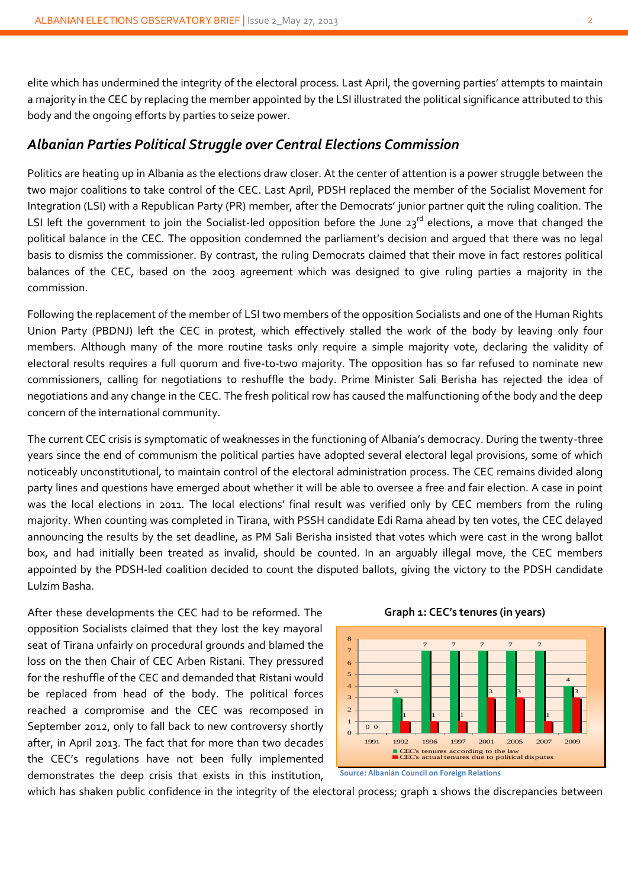elite which has undermined the integrity of the electoral process. Last April, the governing parties' attempts to maintain a majority in the CEC by replacing the member appointed by the LSI illustrated the political significance attributed to this body and the ongoing efforts by parties to seize power.

### *Albanian Parties Political Struggle over Central Elections Commission*

Politics are heating up in Albania as the elections draw closer. At the center of attention is a power struggle between the two major coalitions to take control of the CEC. Last April, PDSH replaced the member of the Socialist Movement for Integration (LSI) with a Republican Party (PR) member, after the Democrats' junior partner quit the ruling coalition. The LSI left the government to join the Socialist-led opposition before the June  $23^{rd}$  elections, a move that changed the political balance in the CEC. The opposition condemned the parliament's decision and argued that there was no legal basis to dismiss the commissioner. By contrast, the ruling Democrats claimed that their move in fact restores political balances of the CEC, based on the 2003 agreement which was designed to give ruling parties a majority in the commission.

Following the replacement of the member of LSI two members of the opposition Socialists and one of the Human Rights Union Party (PBDNJ) left the CEC in protest, which effectively stalled the work of the body by leaving only four members. Although many of the more routine tasks only require a simple majority vote, declaring the validity of electoral results requires a full quorum and five-to-two majority. The opposition has so far refused to nominate new commissioners, calling for negotiations to reshuffle the body. Prime Minister Sali Berisha has rejected the idea of negotiations and any change in the CEC. The fresh political row has caused the malfunctioning of the body and the deep concern of the international community.

The current CEC crisis is symptomatic of weaknesses in the functioning of Albania's democracy. During the twenty-three years since the end of communism the political parties have adopted several electoral legal provisions, some of which noticeably unconstitutional, to maintain control of the electoral administration process. The CEC remains divided along party lines and questions have emerged about whether it will be able to oversee a free and fair election. A case in point was the local elections in 2011. The local elections' final result was verified only by CEC members from the ruling majority. When counting was completed in Tirana, with PSSH candidate Edi Rama ahead by ten votes, the CEC delayed announcing the results by the set deadline, as PM Sali Berisha insisted that votes which were cast in the wrong ballot box, and had initially been treated as invalid, should be counted. In an arguably illegal move, the CEC members appointed by the PDSH-led coalition decided to count the disputed ballots, giving the victory to the PDSH candidate Lulzim Basha.

After these developments the CEC had to be reformed. The opposition Socialists claimed that they lost the key mayoral seat of Tirana unfairly on procedural grounds and blamed the loss on the then Chair of CEC Arben Ristani. They pressured for the reshuffle of the CEC and demanded that Ristani would be replaced from head of the body. The political forces reached a compromise and the CEC was recomposed in September 2012, only to fall back to new controversy shortly after, in April 2013. The fact that for more than two decades the CEC's regulations have not been fully implemented demonstrates the deep crisis that exists in this institution,





**Source: Albanian Council on Foreign Relations**

which has shaken public confidence in the integrity of the electoral process; graph 1 shows the discrepancies between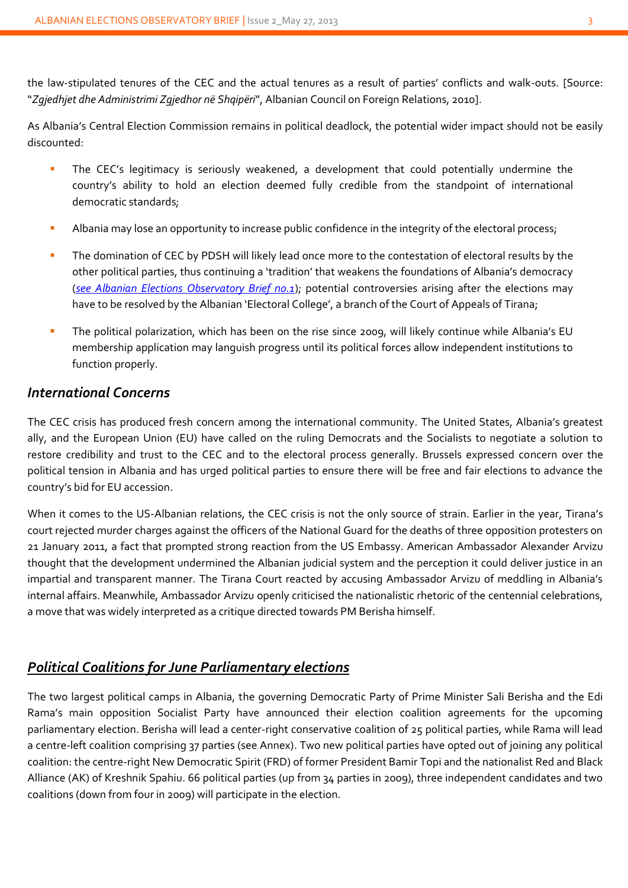the law-stipulated tenures of the CEC and the actual tenures as a result of parties' conflicts and walk-outs. [Source: "*Zgjedhjet dhe Administrimi Zgjedhor në Shqipëri*", Albanian Council on Foreign Relations, 2010].

As Albania's Central Election Commission remains in political deadlock, the potential wider impact should not be easily discounted:

- The CEC's legitimacy is seriously weakened, a development that could potentially undermine the country's ability to hold an election deemed fully credible from the standpoint of international democratic standards;
- Albania may lose an opportunity to increase public confidence in the integrity of the electoral process;
- The domination of CEC by PDSH will likely lead once more to the contestation of electoral results by the other political parties, thus continuing a 'tradition' that weakens the foundations of Albania's democracy ([see Albanian Elections Observatory Brief no.1](http://www.eliamep.gr/wp-content/uploads/2013/04/bn1.pdf)); potential controversies arising after the elections may have to be resolved by the Albanian 'Electoral College', a branch of the Court of Appeals of Tirana;
- The political polarization, which has been on the rise since 2009, will likely continue while Albania's EU membership application may languish progress until its political forces allow independent institutions to function properly.

### *International Concerns*

The CEC crisis has produced fresh concern among the international community. The United States, Albania's greatest ally, and the European Union (EU) have called on the ruling Democrats and the Socialists to negotiate a solution to restore credibility and trust to the CEC and to the electoral process generally. Brussels expressed concern over the political tension in Albania and has urged political parties to ensure there will be free and fair elections to advance the country's bid for EU accession.

When it comes to the US-Albanian relations, the CEC crisis is not the only source of strain. Earlier in the year, Tirana's court rejected murder charges against the officers of the National Guard for the deaths of three opposition protesters on 21 January 2011, a fact that prompted strong reaction from the US Embassy. American Ambassador Alexander Arvizu thought that the development undermined the Albanian judicial system and the perception it could deliver justice in an impartial and transparent manner. The Tirana Court reacted by accusing Ambassador Arvizu of meddling in Albania's internal affairs. Meanwhile, Ambassador Arvizu openly criticised the nationalistic rhetoric of the centennial celebrations, a move that was widely interpreted as a critique directed towards PM Berisha himself.

### *Political Coalitions for June Parliamentary elections*

The two largest political camps in Albania, the governing Democratic Party of Prime Minister Sali Berisha and the Edi Rama's main opposition Socialist Party have announced their election coalition agreements for the upcoming parliamentary election. Berisha will lead a center-right conservative coalition of 25 political parties, while Rama will lead a centre-left coalition comprising 37 parties (see Annex). Two new political parties have opted out of joining any political coalition: the centre-right New Democratic Spirit (FRD) of former President Bamir Topi and the nationalist Red and Black Alliance (AK) of Kreshnik Spahiu. 66 political parties (up from 34 parties in 2009), three independent candidates and two coalitions (down from four in 2009) will participate in the election.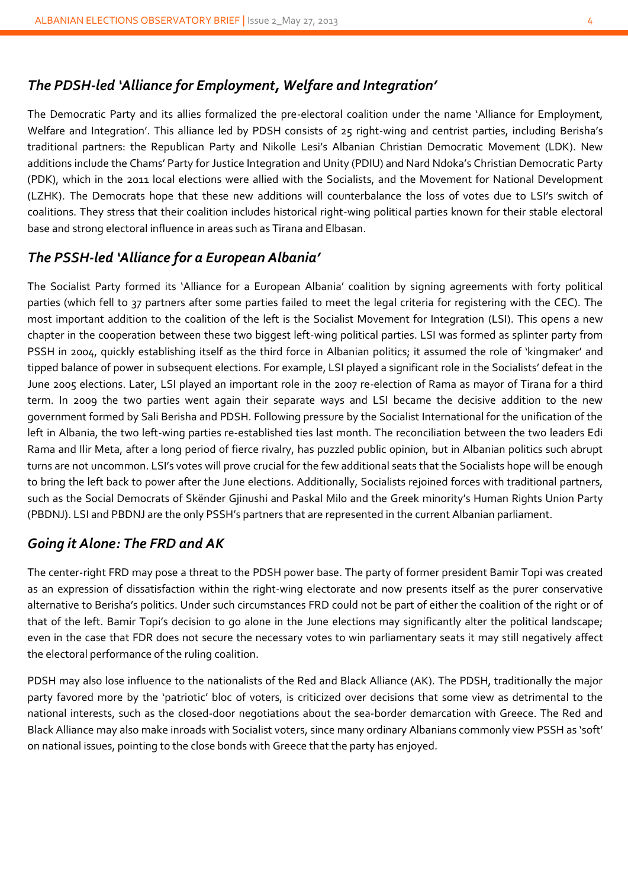### *The PDSH-led 'Alliance for Employment, Welfare and Integration'*

The Democratic Party and its allies formalized the pre-electoral coalition under the name 'Alliance for Employment, Welfare and Integration'. This alliance led by PDSH consists of 25 right-wing and centrist parties, including Berisha's traditional partners: the Republican Party and Nikolle Lesi's Albanian Christian Democratic Movement (LDK). New additions include the Chams' Party for Justice Integration and Unity (PDIU) and Nard Ndoka's Christian Democratic Party (PDK), which in the 2011 local elections were allied with the Socialists, and the Movement for National Development (LZHK). The Democrats hope that these new additions will counterbalance the loss of votes due to LSI's switch of coalitions. They stress that their coalition includes historical right-wing political parties known for their stable electoral base and strong electoral influence in areas such as Tirana and Elbasan.

### *The PSSH-led 'Alliance for a European Albania'*

The Socialist Party formed its 'Alliance for a European Albania' coalition by signing agreements with forty political parties (which fell to 37 partners after some parties failed to meet the legal criteria for registering with the CEC). The most important addition to the coalition of the left is the Socialist Movement for Integration (LSI). This opens a new chapter in the cooperation between these two biggest left-wing political parties. LSI was formed as splinter party from PSSH in 2004, quickly establishing itself as the third force in Albanian politics; it assumed the role of 'kingmaker' and tipped balance of power in subsequent elections. For example, LSI played a significant role in the Socialists' defeat in the June 2005 elections. Later, LSI played an important role in the 2007 re-election of Rama as mayor of Tirana for a third term. In 2009 the two parties went again their separate ways and LSI became the decisive addition to the new government formed by Sali Berisha and PDSH. Following pressure by the Socialist International for the unification of the left in Albania, the two left-wing parties re-established ties last month. The reconciliation between the two leaders Edi Rama and Ilir Meta, after a long period of fierce rivalry, has puzzled public opinion, but in Albanian politics such abrupt turns are not uncommon. LSI's votes will prove crucial for the few additional seats that the Socialists hope will be enough to bring the left back to power after the June elections. Additionally, Socialists rejoined forces with traditional partners, such as the Social Democrats of Skënder Gjinushi and Paskal Milo and the Greek minority's Human Rights Union Party (PBDNJ). LSI and PBDNJ are the only PSSH's partners that are represented in the current Albanian parliament.

### *Going it Alone: The FRD and AK*

The center-right FRD may pose a threat to the PDSH power base. The party of former president Bamir Topi was created as an expression of dissatisfaction within the right-wing electorate and now presents itself as the purer conservative alternative to Berisha's politics. Under such circumstances FRD could not be part of either the coalition of the right or of that of the left. Bamir Topi's decision to go alone in the June elections may significantly alter the political landscape; even in the case that FDR does not secure the necessary votes to win parliamentary seats it may still negatively affect the electoral performance of the ruling coalition.

PDSH may also lose influence to the nationalists of the Red and Black Alliance (AK). The PDSH, traditionally the major party favored more by the 'patriotic' bloc of voters, is criticized over decisions that some view as detrimental to the national interests, such as the closed-door negotiations about the sea-border demarcation with Greece. The Red and Black Alliance may also make inroads with Socialist voters, since many ordinary Albanians commonly view PSSH as 'soft' on national issues, pointing to the close bonds with Greece that the party has enjoyed.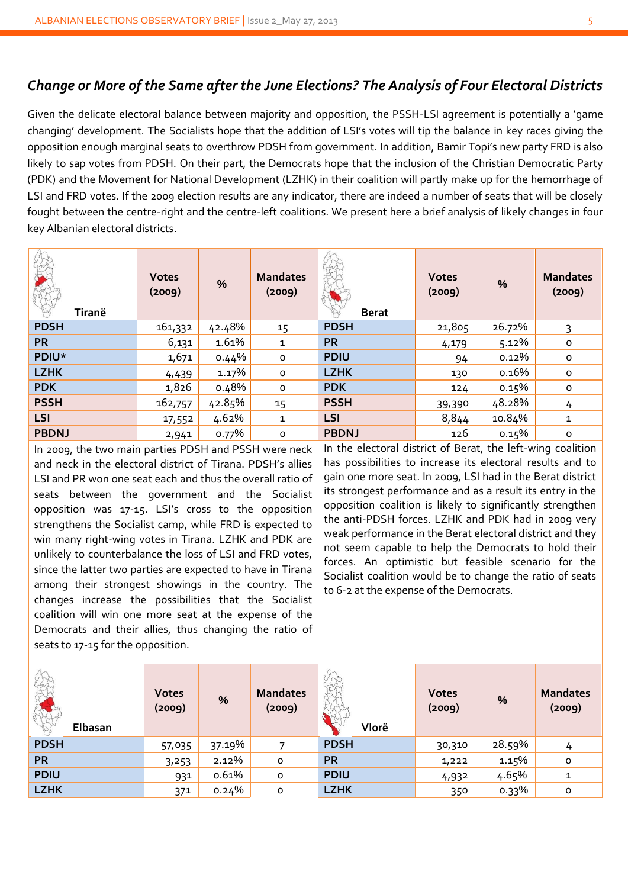### *Change or More of the Same after the June Elections? The Analysis of Four Electoral Districts*

Given the delicate electoral balance between majority and opposition, the PSSH-LSI agreement is potentially a 'game changing' development. The Socialists hope that the addition of LSI's votes will tip the balance in key races giving the opposition enough marginal seats to overthrow PDSH from government. In addition, Bamir Topi's new party FRD is also likely to sap votes from PDSH. On their part, the Democrats hope that the inclusion of the Christian Democratic Party (PDK) and the Movement for National Development (LZHK) in their coalition will partly make up for the hemorrhage of LSI and FRD votes. If the 2009 election results are any indicator, there are indeed a number of seats that will be closely fought between the centre-right and the centre-left coalitions. We present here a brief analysis of likely changes in four key Albanian electoral districts.

| Tiranë       | <b>Votes</b><br>(2009) | $\%$   | <b>Mandates</b><br>(2009) | N.<br><b>Berat</b> | <b>Votes</b><br>(2009) | $\%$     | <b>Mandates</b><br>(2009) |
|--------------|------------------------|--------|---------------------------|--------------------|------------------------|----------|---------------------------|
| <b>PDSH</b>  | 161,332                | 42.48% | 15                        | <b>PDSH</b>        | 21,805                 | 26.72%   | 3                         |
| <b>PR</b>    | 6,131                  | 1.61%  | $\mathbf{1}$              | <b>PR</b>          | 4,179                  | 5.12%    | 0                         |
| PDIU*        | 1,671                  | 0.44%  | $\mathsf{o}$              | <b>PDIU</b>        | 94                     | $0.12\%$ | $\circ$                   |
| <b>LZHK</b>  | 4,439                  | 1.17%  | $\circ$                   | <b>LZHK</b>        | 130                    | 0.16%    | $\circ$                   |
| <b>PDK</b>   | 1,826                  | 0.48%  | $\mathsf{o}$              | <b>PDK</b>         | 124                    | 0.15%    | $\circ$                   |
| <b>PSSH</b>  | 162,757                | 42.85% | 15                        | <b>PSSH</b>        | 39,390                 | 48.28%   | 4                         |
| LSI          | 17,552                 | 4.62%  | $\mathbf{1}$              | LSI                | 8,844                  | 10.84%   | $\mathbf{1}$              |
| <b>PBDNJ</b> | 2,941                  | 0.77%  | $\circ$                   | <b>PBDNJ</b>       | 126                    | 0.15%    | $\mathsf{o}$              |

In 2009, the two main parties PDSH and PSSH were neck and neck in the electoral district of Tirana. PDSH's allies LSI and PR won one seat each and thus the overall ratio of seats between the government and the Socialist opposition was 17-15. LSI's cross to the opposition strengthens the Socialist camp, while FRD is expected to win many right-wing votes in Tirana. LZHK and PDK are unlikely to counterbalance the loss of LSI and FRD votes, since the latter two parties are expected to have in Tirana among their strongest showings in the country. The changes increase the possibilities that the Socialist coalition will win one more seat at the expense of the Democrats and their allies, thus changing the ratio of seats to 17-15 for the opposition.

In the electoral district of Berat, the left-wing coalition has possibilities to increase its electoral results and to gain one more seat. In 2009, LSI had in the Berat district its strongest performance and as a result its entry in the opposition coalition is likely to significantly strengthen the anti-PDSH forces. LZHK and PDK had in 2009 very weak performance in the Berat electoral district and they not seem capable to help the Democrats to hold their forces. An optimistic but feasible scenario for the Socialist coalition would be to change the ratio of seats to 6-2 at the expense of the Democrats.

| Elbasan     | <b>Votes</b><br>(2009) | $\%$   | <b>Mandates</b><br>(2009) | which<br>Vlorë | <b>Votes</b><br>(2009) | %      | <b>Mandates</b><br>(2009) |
|-------------|------------------------|--------|---------------------------|----------------|------------------------|--------|---------------------------|
| <b>PDSH</b> | 57,035                 | 37.19% |                           | <b>PDSH</b>    | 30,310                 | 28.59% | 4                         |
| <b>PR</b>   | 3,253                  | 2.12%  | $\circ$                   | <b>PR</b>      | 1,222                  | 1.15%  | $\mathsf{o}$              |
| <b>PDIU</b> | 931                    | 0.61%  | O                         | <b>PDIU</b>    | 4,932                  | 4.65%  | 1                         |
| <b>LZHK</b> | 371                    | 0.24%  | $\circ$                   | <b>LZHK</b>    | 350                    | 0.33%  | $\circ$                   |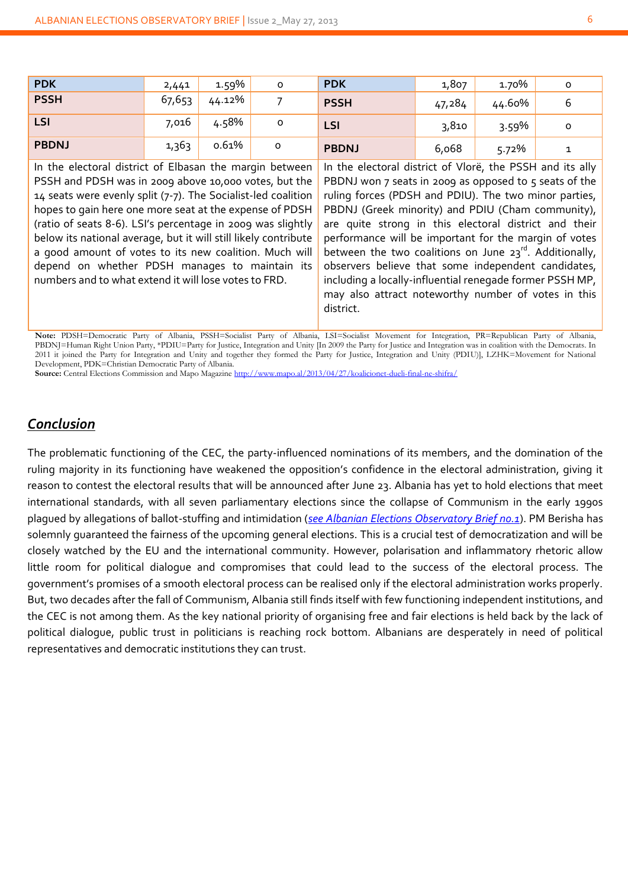| <b>PDK</b>   | 2,441  | 1.59%  | o | <b>PDK</b>   | 1,807  | 1.70%  | 0 |
|--------------|--------|--------|---|--------------|--------|--------|---|
| <b>PSSH</b>  | 67,653 | 44.12% |   | <b>PSSH</b>  | 47,284 | 44.60% |   |
| LSI          | 7,016  | 4.58%  | o | LSI          | 3,810  | 3.59%  | o |
| <b>PBDNJ</b> | 1,363  | 0.61%  | 0 | <b>PBDNJ</b> | 6,068  | 5.72%  |   |

In the electoral district of Elbasan the margin between PSSH and PDSH was in 2009 above 10,000 votes, but the 14 seats were evenly split (7-7). The Socialist-led coalition hopes to gain here one more seat at the expense of PDSH (ratio of seats 8-6). LSI's percentage in 2009 was slightly below its national average, but it will still likely contribute a good amount of votes to its new coalition. Much will depend on whether PDSH manages to maintain its numbers and to what extend it will lose votes to FRD.

In the electoral district of Vlorë, the PSSH and its ally PBDNJ won  $7$  seats in 2009 as opposed to  $5$  seats of the ruling forces (PDSH and PDIU). The two minor parties, PBDNJ (Greek minority) and PDIU (Cham community), are quite strong in this electoral district and their performance will be important for the margin of votes between the two coalitions on June  $23^{rd}$ . Additionally, observers believe that some independent candidates, including a locally-influential renegade former PSSH MP, may also attract noteworthy number of votes in this district.

**Note:** PDSH=Democratic Party of Albania, PSSH=Socialist Party of Albania, LSI=Socialist Movement for Integration, PR=Republican Party of Albania, PBDNJ=Human Right Union Party, \*PDIU=Party for Justice, Integration and Unity [In 2009 the Party for Justice and Integration was in coalition with the Democrats. In 2011 it joined the Party for Integration and Unity and together they formed the Party for Justice, Integration and Unity (PDIU)], LZHK=Movement for National Development, PDK=Christian Democratic Party of Albania.

**Source:** Central Elections Commission and Mapo Magazin[e http://www.mapo.al/2013/04/27/koalicionet-dueli-final-ne-shifra/](http://www.mapo.al/2013/04/27/koalicionet-dueli-final-ne-shifra/)

### *Conclusion*

The problematic functioning of the CEC, the party-influenced nominations of its members, and the domination of the ruling majority in its functioning have weakened the opposition's confidence in the electoral administration, giving it reason to contest the electoral results that will be announced after June 23. Albania has yet to hold elections that meet international standards, with all seven parliamentary elections since the collapse of Communism in the early 1990s plagued by allegations of ballot-stuffing and intimidation (*[see Albanian Elections Observatory Brief no.1](http://www.eliamep.gr/wp-content/uploads/2013/04/bn1.pdf)*). PM Berisha has solemnly guaranteed the fairness of the upcoming general elections. This is a crucial test of democratization and will be closely watched by the EU and the international community. However, polarisation and inflammatory rhetoric allow little room for political dialogue and compromises that could lead to the success of the electoral process. The government's promises of a smooth electoral process can be realised only if the electoral administration works properly. But, two decades after the fall of Communism, Albania still finds itself with few functioning independent institutions, and the CEC is not among them. As the key national priority of organising free and fair elections is held back by the lack of political dialogue, public trust in politicians is reaching rock bottom. Albanians are desperately in need of political representatives and democratic institutions they can trust.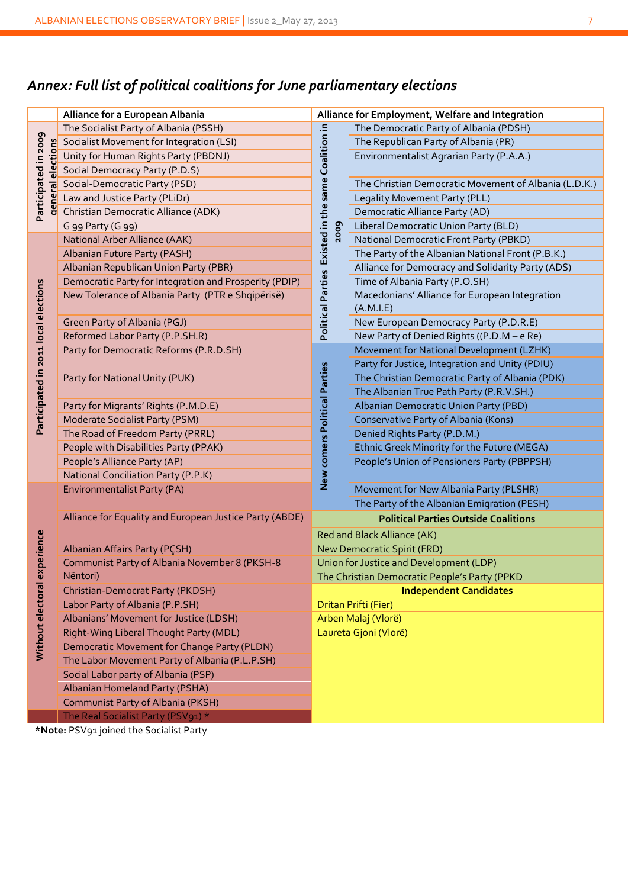### *Annex: Full list of political coalitions for June parliamentary elections*

|                                      | Alliance for a European Albania                                     |                                                    | Alliance for Employment, Welfare and Integration            |  |  |  |
|--------------------------------------|---------------------------------------------------------------------|----------------------------------------------------|-------------------------------------------------------------|--|--|--|
|                                      | The Socialist Party of Albania (PSSH)                               |                                                    | The Democratic Party of Albania (PDSH)                      |  |  |  |
|                                      | Socialist Movement for Integration (LSI)                            |                                                    | The Republican Party of Albania (PR)                        |  |  |  |
|                                      | Unity for Human Rights Party (PBDNJ)                                |                                                    | Environmentalist Agrarian Party (P.A.A.)                    |  |  |  |
| elections                            | Social Democracy Party (P.D.S)                                      |                                                    |                                                             |  |  |  |
| ल                                    | Social-Democratic Party (PSD)                                       |                                                    | The Christian Democratic Movement of Albania (L.D.K.)       |  |  |  |
|                                      |                                                                     |                                                    | Legality Movement Party (PLL)                               |  |  |  |
| Participated in 2009                 | Law and Justice Party (FLIP)<br>Christian Democratic Alliance (ADK) |                                                    | Democratic Alliance Party (AD)                              |  |  |  |
|                                      | G 99 Party (G 99)                                                   | 2009                                               | Liberal Democratic Union Party (BLD)                        |  |  |  |
|                                      | National Arber Alliance (AAK)                                       |                                                    | National Democratic Front Party (PBKD)                      |  |  |  |
|                                      | Albanian Future Party (PASH)                                        |                                                    | The Party of the Albanian National Front (P.B.K.)           |  |  |  |
|                                      | Albanian Republican Union Party (PBR)                               |                                                    | Alliance for Democracy and Solidarity Party (ADS)           |  |  |  |
|                                      | Democratic Party for Integration and Prosperity (PDIP)              |                                                    | Time of Albania Party (P.O.SH)                              |  |  |  |
| Participated in 2011 local elections | New Tolerance of Albania Party (PTR e Shqipërisë)                   | Political Parties Existed in the same Coalition in | Macedonians' Alliance for European Integration<br>(A.M.I.E) |  |  |  |
|                                      | Green Party of Albania (PGJ)                                        |                                                    | New European Democracy Party (P.D.R.E)                      |  |  |  |
|                                      | Reformed Labor Party (P.P.SH.R)                                     |                                                    | New Party of Denied Rights ((P.D.M - e Re)                  |  |  |  |
|                                      | Party for Democratic Reforms (P.R.D.SH)                             |                                                    | Movement for National Development (LZHK)                    |  |  |  |
|                                      |                                                                     |                                                    | Party for Justice, Integration and Unity (PDIU)             |  |  |  |
|                                      | Party for National Unity (PUK)                                      |                                                    | The Christian Democratic Party of Albania (PDK)             |  |  |  |
|                                      |                                                                     |                                                    | The Albanian True Path Party (P.R.V.SH.)                    |  |  |  |
|                                      | Party for Migrants' Rights (P.M.D.E)                                |                                                    | Albanian Democratic Union Party (PBD)                       |  |  |  |
|                                      | Moderate Socialist Party (PSM)<br>The Road of Freedom Party (PRRL)  |                                                    | Conservative Party of Albania (Kons)                        |  |  |  |
|                                      |                                                                     |                                                    | Denied Rights Party (P.D.M.)                                |  |  |  |
|                                      | People with Disabilities Party (PPAK)                               |                                                    | Ethnic Greek Minority for the Future (MEGA)                 |  |  |  |
|                                      | People's Alliance Party (AP)                                        |                                                    | People's Union of Pensioners Party (PBPPSH)                 |  |  |  |
|                                      | <b>National Conciliation Party (P.P.K)</b>                          | New comers Political Parties                       |                                                             |  |  |  |
|                                      | <b>Environmentalist Party (PA)</b>                                  |                                                    | Movement for New Albania Party (PLSHR)                      |  |  |  |
|                                      |                                                                     |                                                    | The Party of the Albanian Emigration (PESH)                 |  |  |  |
|                                      | Alliance for Equality and European Justice Party (ABDE)             |                                                    | <b>Political Parties Outside Coalitions</b>                 |  |  |  |
|                                      |                                                                     |                                                    | Red and Black Alliance (AK)                                 |  |  |  |
|                                      | Albanian Affairs Party (PÇSH)                                       | New Democratic Spirit (FRD)                        |                                                             |  |  |  |
| experience                           | Communist Party of Albania November 8 (PKSH-8                       | Union for Justice and Development (LDP)            |                                                             |  |  |  |
|                                      | Nëntori)                                                            |                                                    | The Christian Democratic People's Party (PPKD               |  |  |  |
| Without electoral                    | Christian-Democrat Party (PKDSH)                                    |                                                    | <b>Independent Candidates</b>                               |  |  |  |
|                                      | Labor Party of Albania (P.P.SH)                                     |                                                    | Dritan Prifti (Fier)                                        |  |  |  |
|                                      | Albanians' Movement for Justice (LDSH)                              |                                                    | Arben Malaj (Vlorë)                                         |  |  |  |
|                                      | Right-Wing Liberal Thought Party (MDL)                              |                                                    | Laureta Gjoni (Vlorë)                                       |  |  |  |
|                                      | Democratic Movement for Change Party (PLDN)                         |                                                    |                                                             |  |  |  |
|                                      | The Labor Movement Party of Albania (P.L.P.SH)                      |                                                    |                                                             |  |  |  |
|                                      | Social Labor party of Albania (PSP)                                 |                                                    |                                                             |  |  |  |
|                                      | Albanian Homeland Party (PSHA)                                      |                                                    |                                                             |  |  |  |
|                                      | Communist Party of Albania (PKSH)                                   |                                                    |                                                             |  |  |  |
|                                      | The Real Socialist Party (PSV91) *                                  |                                                    |                                                             |  |  |  |

**\*Note:** PSV91 joined the Socialist Party